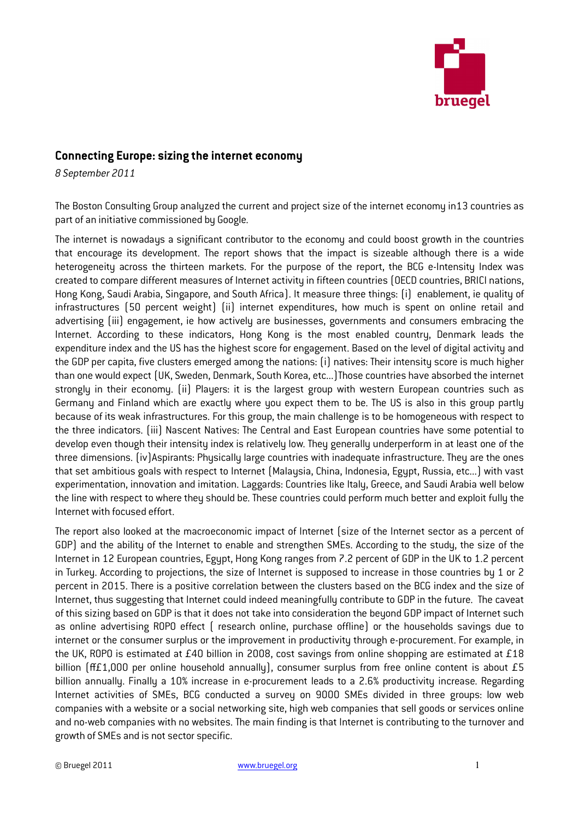

## Connecting Europe: sizing the internet economy

8 September 2011

The Boston Consulting Group analyzed the current and project size of the internet economy in13 countries as part of an initiative commissioned by Google.

The internet is nowadays a significant contributor to the economy and could boost growth in the countries that encourage its development. The report shows that the impact is sizeable although there is a wide heterogeneity across the thirteen markets. For the purpose of the report, the BCG e-Intensity Index was created to compare different measures of Internet activity in fifteen countries (OECD countries, BRICI nations, Hong Kong, Saudi Arabia, Singapore, and South Africa). It measure three things: (i) enablement, ie quality of infrastructures (50 percent weight) (ii) internet expenditures, how much is spent on online retail and advertising (iii) engagement, ie how actively are businesses, governments and consumers embracing the Internet. According to these indicators, Hong Kong is the most enabled country, Denmark leads the expenditure index and the US has the highest score for engagement. Based on the level of digital activity and the GDP per capita, five clusters emerged among the nations: (i) natives: Their intensity score is much higher than one would expect (UK, Sweden, Denmark, South Korea, etc...)Those countries have absorbed the internet strongly in their economy. (ii) Players: it is the largest group with western European countries such as Germany and Finland which are exactly where you expect them to be. The US is also in this group partly because of its weak infrastructures. For this group, the main challenge is to be homogeneous with respect to the three indicators. (iii) Nascent Natives: The Central and East European countries have some potential to develop even though their intensity index is relatively low. They generally underperform in at least one of the three dimensions. (iv)Aspirants: Physically large countries with inadequate infrastructure. They are the ones that set ambitious goals with respect to Internet (Malaysia, China, Indonesia, Egypt, Russia, etc...) with vast experimentation, innovation and imitation. Laggards: Countries like Italy, Greece, and Saudi Arabia well below the line with respect to where they should be. These countries could perform much better and exploit fully the Internet with focused effort.

The report also looked at the macroeconomic impact of Internet (size of the Internet sector as a percent of GDP) and the ability of the Internet to enable and strengthen SMEs. According to the study, the size of the Internet in 12 European countries, Egypt, Hong Kong ranges from 7.2 percent of GDP in the UK to 1.2 percent in Turkey. According to projections, the size of Internet is supposed to increase in those countries by 1 or 2 percent in 2015. There is a positive correlation between the clusters based on the BCG index and the size of Internet, thus suggesting that Internet could indeed meaningfully contribute to GDP in the future. The caveat of this sizing based on GDP is that it does not take into consideration the beyond GDP impact of Internet such as online advertising ROPO effect ( research online, purchase offline) or the households savings due to internet or the consumer surplus or the improvement in productivity through e-procurement. For example, in the UK, ROPO is estimated at £40 billion in 2008, cost savings from online shopping are estimated at £18 billion  $(H£1,000$  per online household annually), consumer surplus from free online content is about £5 billion annually. Finally a 10% increase in e-procurement leads to a 2.6% productivity increase. Regarding Internet activities of SMEs, BCG conducted a survey on 9000 SMEs divided in three groups: low web companies with a website or a social networking site, high web companies that sell goods or services online and no-web companies with no websites. The main finding is that Internet is contributing to the turnover and growth of SMEs and is not sector specific.